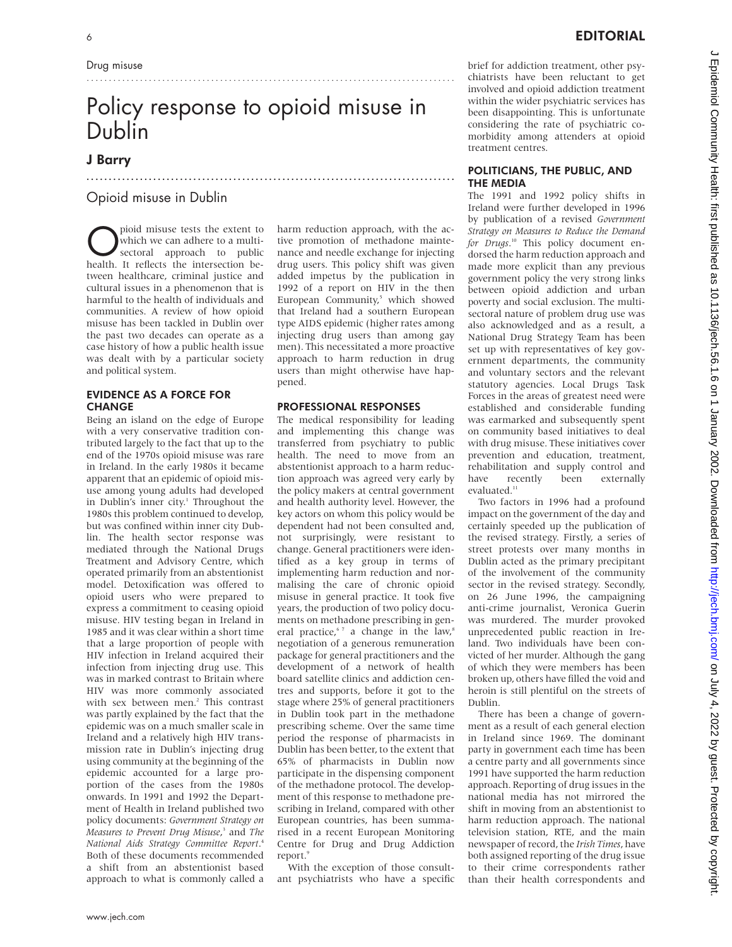# Policy response to opioid misuse in Dublin

...................................................................................

# J Barry

# Opioid misuse in Dublin

pioid misuse tests the extent to<br>which we can adhere to a multi-<br>sectoral approach to public<br>health It reflects the intersection be which we can adhere to a multihealth. It reflects the intersection between healthcare, criminal justice and cultural issues in a phenomenon that is harmful to the health of individuals and communities. A review of how opioid misuse has been tackled in Dublin over the past two decades can operate as a case history of how a public health issue was dealt with by a particular society and political system.

# EVIDENCE AS A FORCE FOR **CHANGE**

Being an island on the edge of Europe with a very conservative tradition contributed largely to the fact that up to the end of the 1970s opioid misuse was rare in Ireland. In the early 1980s it became apparent that an epidemic of opioid misuse among young adults had developed in Dublin's inner city.<sup>1</sup> Throughout the 1980s this problem continued to develop, but was confined within inner city Dublin. The health sector response was mediated through the National Drugs Treatment and Advisory Centre, which operated primarily from an abstentionist model. Detoxification was offered to opioid users who were prepared to express a commitment to ceasing opioid misuse. HIV testing began in Ireland in 1985 and it was clear within a short time that a large proportion of people with HIV infection in Ireland acquired their infection from injecting drug use. This was in marked contrast to Britain where HIV was more commonly associated with sex between men.<sup>2</sup> This contrast was partly explained by the fact that the epidemic was on a much smaller scale in Ireland and a relatively high HIV transmission rate in Dublin's injecting drug using community at the beginning of the epidemic accounted for a large proportion of the cases from the 1980s onwards. In 1991 and 1992 the Department of Health in Ireland published two policy documents: *Government Strategy on Measures to Prevent Drug Misuse*, <sup>3</sup> and *The National Aids Strategy Committee Report*. 4 Both of these documents recommended a shift from an abstentionist based approach to what is commonly called a harm reduction approach, with the active promotion of methadone maintenance and needle exchange for injecting drug users. This policy shift was given added impetus by the publication in 1992 of a report on HIV in the then European Community,<sup>5</sup> which showed that Ireland had a southern European type AIDS epidemic (higher rates among injecting drug users than among gay men). This necessitated a more proactive approach to harm reduction in drug users than might otherwise have happened.

...................................................................................

## PROFESSIONAL RESPONSES

The medical responsibility for leading and implementing this change was transferred from psychiatry to public health. The need to move from an abstentionist approach to a harm reduction approach was agreed very early by the policy makers at central government and health authority level. However, the key actors on whom this policy would be dependent had not been consulted and, not surprisingly, were resistant to change. General practitioners were identified as a key group in terms of implementing harm reduction and normalising the care of chronic opioid misuse in general practice. It took five years, the production of two policy documents on methadone prescribing in general practice, $67$  a change in the law, $8$ negotiation of a generous remuneration package for general practitioners and the development of a network of health board satellite clinics and addiction centres and supports, before it got to the stage where 25% of general practitioners in Dublin took part in the methadone prescribing scheme. Over the same time period the response of pharmacists in Dublin has been better, to the extent that 65% of pharmacists in Dublin now participate in the dispensing component of the methadone protocol. The development of this response to methadone prescribing in Ireland, compared with other European countries, has been summarised in a recent European Monitoring Centre for Drug and Drug Addiction report.<sup>9</sup>

With the exception of those consultant psychiatrists who have a specific

brief for addiction treatment, other psychiatrists have been reluctant to get involved and opioid addiction treatment within the wider psychiatric services has been disappointing. This is unfortunate considering the rate of psychiatric comorbidity among attenders at opioid treatment centres.

## POLITICIANS, THE PUBLIC, AND THE MEDIA

The 1991 and 1992 policy shifts in Ireland were further developed in 1996 by publication of a revised *Government Strategy on Measures to Reduce the Demand for Drugs*. <sup>10</sup> This policy document endorsed the harm reduction approach and made more explicit than any previous government policy the very strong links between opioid addiction and urban poverty and social exclusion. The multisectoral nature of problem drug use was also acknowledged and as a result, a National Drug Strategy Team has been set up with representatives of key government departments, the community and voluntary sectors and the relevant statutory agencies. Local Drugs Task Forces in the areas of greatest need were established and considerable funding was earmarked and subsequently spent on community based initiatives to deal with drug misuse. These initiatives cover prevention and education, treatment, rehabilitation and supply control and have recently been externally evaluated.<sup>11</sup>

Two factors in 1996 had a profound impact on the government of the day and certainly speeded up the publication of the revised strategy. Firstly, a series of street protests over many months in Dublin acted as the primary precipitant of the involvement of the community sector in the revised strategy. Secondly, on 26 June 1996, the campaigning anti-crime journalist, Veronica Guerin was murdered. The murder provoked unprecedented public reaction in Ireland. Two individuals have been convicted of her murder. Although the gang of which they were members has been broken up, others have filled the void and heroin is still plentiful on the streets of Dublin.

There has been a change of government as a result of each general election in Ireland since 1969. The dominant party in government each time has been a centre party and all governments since 1991 have supported the harm reduction approach. Reporting of drug issues in the national media has not mirrored the shift in moving from an abstentionist to harm reduction approach. The national television station, RTE, and the main newspaper of record, the *Irish Times*, have both assigned reporting of the drug issue to their crime correspondents rather than their health correspondents and